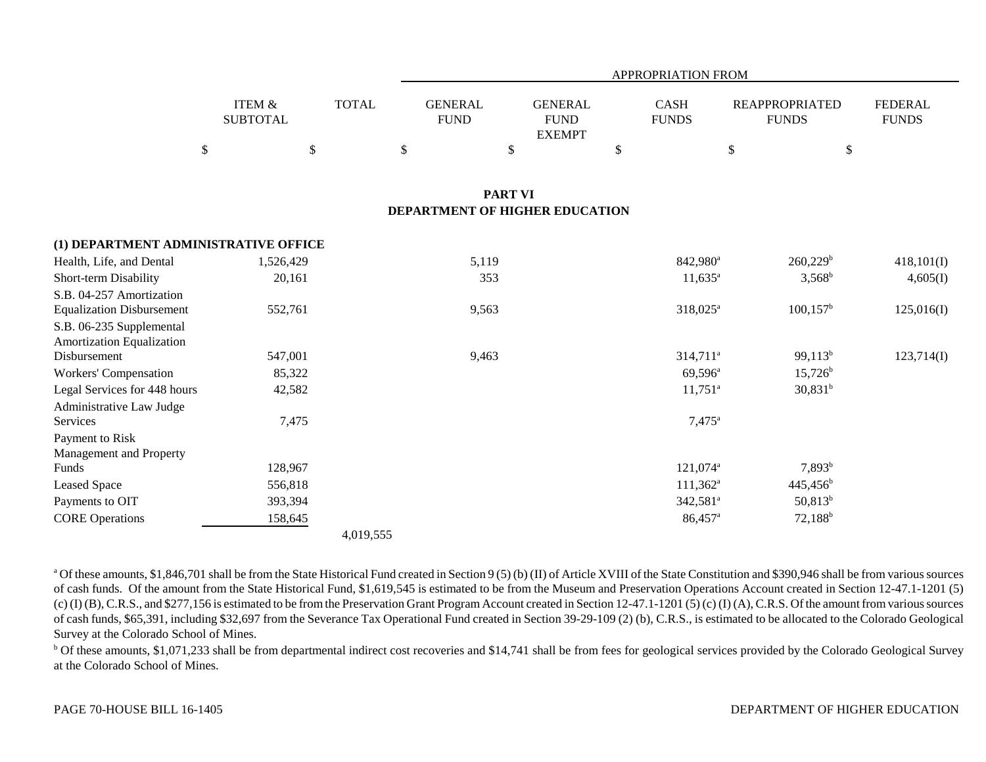|                                            |                                      |              |                                |                                                | <b>APPROPRIATION FROM</b>   |                                       |                                |
|--------------------------------------------|--------------------------------------|--------------|--------------------------------|------------------------------------------------|-----------------------------|---------------------------------------|--------------------------------|
|                                            | <b>ITEM &amp;</b><br><b>SUBTOTAL</b> | <b>TOTAL</b> | <b>GENERAL</b><br><b>FUND</b>  | <b>GENERAL</b><br><b>FUND</b><br><b>EXEMPT</b> | <b>CASH</b><br><b>FUNDS</b> | <b>REAPPROPRIATED</b><br><b>FUNDS</b> | <b>FEDERAL</b><br><b>FUNDS</b> |
| $\mathbb{S}$                               | \$                                   |              | $\$$                           | \$                                             | \$                          | \$                                    | \$                             |
|                                            |                                      |              |                                | <b>PART VI</b>                                 |                             |                                       |                                |
|                                            |                                      |              | DEPARTMENT OF HIGHER EDUCATION |                                                |                             |                                       |                                |
| (1) DEPARTMENT ADMINISTRATIVE OFFICE       |                                      |              |                                |                                                |                             |                                       |                                |
| Health, Life, and Dental                   | 1,526,429                            |              | 5,119                          |                                                | 842,980 <sup>a</sup>        | $260,229^b$                           | 418,101(I)                     |
| Short-term Disability                      | 20,161                               |              | 353                            |                                                | $11,635^{\circ}$            | $3,568^b$                             | 4,605(I)                       |
| S.B. 04-257 Amortization                   |                                      |              |                                |                                                |                             |                                       |                                |
| <b>Equalization Disbursement</b>           | 552,761                              |              | 9,563                          |                                                | $318,025^a$                 | $100, 157^{\rm b}$                    | 125,016(I)                     |
| S.B. 06-235 Supplemental                   |                                      |              |                                |                                                |                             |                                       |                                |
| Amortization Equalization                  |                                      |              |                                |                                                |                             |                                       |                                |
| Disbursement                               | 547,001                              |              | 9,463                          |                                                | 314,711 <sup>a</sup>        | $99,113^b$                            | 123,714(I)                     |
| Workers' Compensation                      | 85,322                               |              |                                |                                                | $69,596^{\circ}$            | $15,726^b$                            |                                |
| Legal Services for 448 hours               | 42,582                               |              |                                |                                                | $11,751^{\circ}$            | $30,831^b$                            |                                |
| Administrative Law Judge                   |                                      |              |                                |                                                |                             |                                       |                                |
| Services                                   | 7,475                                |              |                                |                                                | $7,475^{\circ}$             |                                       |                                |
| Payment to Risk<br>Management and Property |                                      |              |                                |                                                |                             |                                       |                                |
| <b>Funds</b>                               | 128,967                              |              |                                |                                                | 121,074 <sup>a</sup>        | $7,893^{b}$                           |                                |
| <b>Leased Space</b>                        | 556,818                              |              |                                |                                                | $111,362^a$                 | $445,456^b$                           |                                |
| Payments to OIT                            | 393,394                              |              |                                |                                                | 342,581 <sup>a</sup>        | $50,813^b$                            |                                |
| <b>CORE Operations</b>                     | 158,645                              |              |                                |                                                | 86,457 <sup>a</sup>         | $72,188^b$                            |                                |
|                                            |                                      | 4,019,555    |                                |                                                |                             |                                       |                                |

<sup>a</sup> Of these amounts, \$1,846,701 shall be from the State Historical Fund created in Section 9 (5) (b) (II) of Article XVIII of the State Constitution and \$390,946 shall be from various sources of cash funds. Of the amount from the State Historical Fund, \$1,619,545 is estimated to be from the Museum and Preservation Operations Account created in Section 12-47.1-1201 (5)  $(c)$  (I) (B), C.R.S., and \$277,156 is estimated to be from the Preservation Grant Program Account created in Section 12-47.1-1201 (5) (c) (I) (A), C.R.S. Of the amount from various sources of cash funds, \$65,391, including \$32,697 from the Severance Tax Operational Fund created in Section 39-29-109 (2) (b), C.R.S., is estimated to be allocated to the Colorado Geological Survey at the Colorado School of Mines.

<sup>b</sup> Of these amounts, \$1,071,233 shall be from departmental indirect cost recoveries and \$14,741 shall be from fees for geological services provided by the Colorado Geological Survey at the Colorado School of Mines.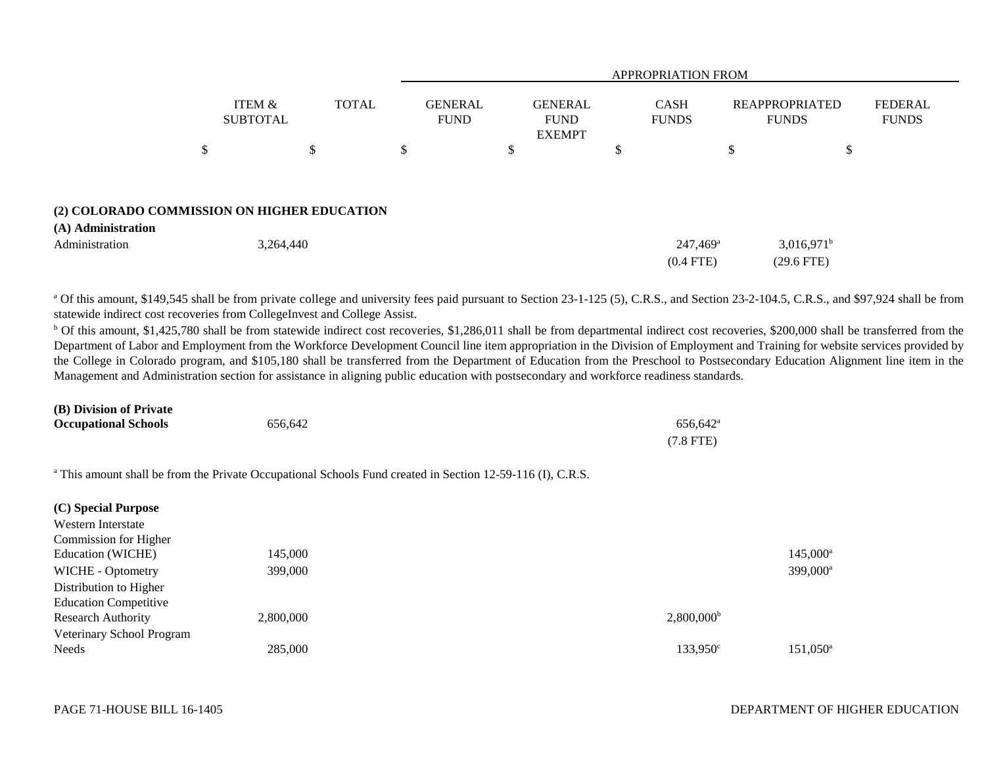|                    |                                             | <b>APPROPRIATION FROM</b> |                               |                                                |                                       |                                       |                                |  |  |  |
|--------------------|---------------------------------------------|---------------------------|-------------------------------|------------------------------------------------|---------------------------------------|---------------------------------------|--------------------------------|--|--|--|
|                    | ITEM &<br><b>SUBTOTAL</b>                   | <b>TOTAL</b>              | <b>GENERAL</b><br><b>FUND</b> | <b>GENERAL</b><br><b>FUND</b><br><b>EXEMPT</b> | <b>CASH</b><br><b>FUNDS</b>           | <b>REAPPROPRIATED</b><br><b>FUNDS</b> | <b>FEDERAL</b><br><b>FUNDS</b> |  |  |  |
|                    | \$                                          | \$                        | \$                            | \$                                             | ¢<br>D                                | \$<br>Φ                               |                                |  |  |  |
|                    |                                             |                           |                               |                                                |                                       |                                       |                                |  |  |  |
| (A) Administration | (2) COLORADO COMMISSION ON HIGHER EDUCATION |                           |                               |                                                |                                       |                                       |                                |  |  |  |
| Administration     | 3,264,440                                   |                           |                               |                                                | $247,469$ <sup>a</sup><br>$(0.4$ FTE) | $3,016,971^b$<br>$(29.6$ FTE)         |                                |  |  |  |

<sup>a</sup> Of this amount, \$149,545 shall be from private college and university fees paid pursuant to Section 23-1-125 (5), C.R.S., and Section 23-2-104.5, C.R.S., and \$97,924 shall be from statewide indirect cost recoveries from CollegeInvest and College Assist.

<sup>b</sup> Of this amount, \$1,425,780 shall be from statewide indirect cost recoveries, \$1,286,011 shall be from departmental indirect cost recoveries, \$200,000 shall be transferred from the Department of Labor and Employment from the Workforce Development Council line item appropriation in the Division of Employment and Training for website services provided by the College in Colorado program, and \$105,180 shall be transferred from the Department of Education from the Preschool to Postsecondary Education Alignment line item in the Management and Administration section for assistance in aligning public education with postsecondary and workforce readiness standards.

| (B) Division of Private     |         |                      |
|-----------------------------|---------|----------------------|
| <b>Occupational Schools</b> | 656.642 | 656.642 <sup>a</sup> |
|                             |         | $(7.8$ FTE)          |

<sup>a</sup> This amount shall be from the Private Occupational Schools Fund created in Section 12-59-116 (I), C.R.S.

| (C) Special Purpose          |           |                          |                      |
|------------------------------|-----------|--------------------------|----------------------|
| Western Interstate           |           |                          |                      |
| Commission for Higher        |           |                          |                      |
| Education (WICHE)            | 145,000   |                          | $145,000^a$          |
| WICHE - Optometry            | 399,000   |                          | 399,000 <sup>a</sup> |
| Distribution to Higher       |           |                          |                      |
| <b>Education Competitive</b> |           |                          |                      |
| <b>Research Authority</b>    | 2,800,000 | $2,800,000$ <sup>b</sup> |                      |
| Veterinary School Program    |           |                          |                      |
| Needs                        | 285,000   | 133,950 <sup>c</sup>     | $151,050^{\rm a}$    |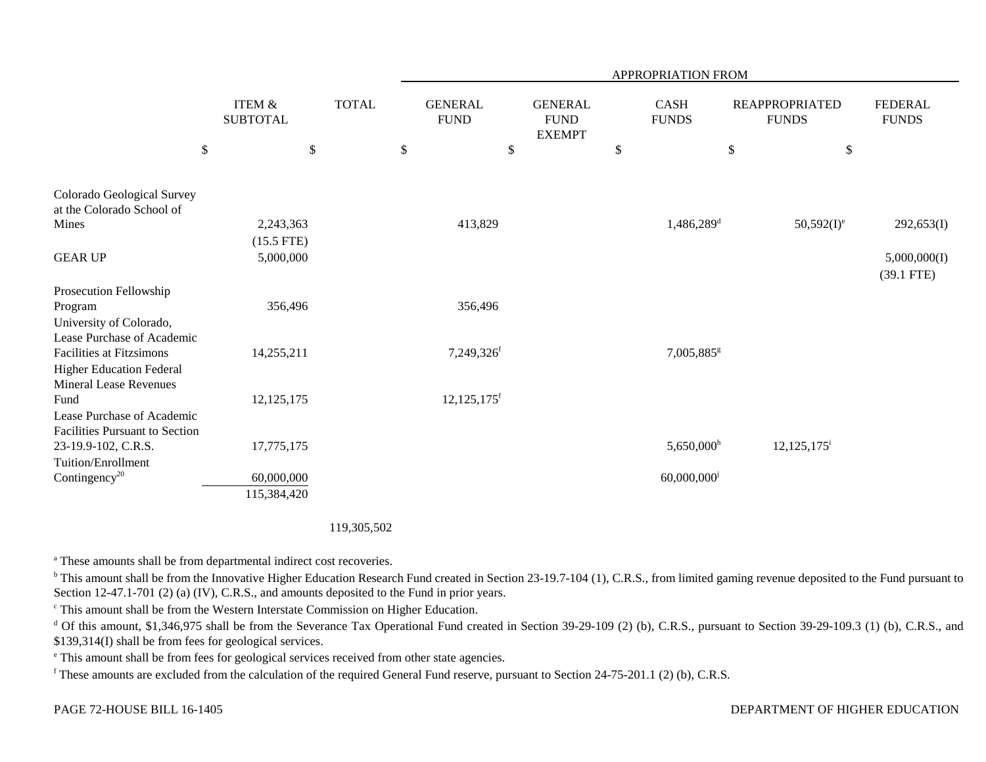|                                                                     |                                            |              |                                       |                                                      | APPROPRIATION FROM                |                                                               |                                |
|---------------------------------------------------------------------|--------------------------------------------|--------------|---------------------------------------|------------------------------------------------------|-----------------------------------|---------------------------------------------------------------|--------------------------------|
| $\boldsymbol{\mathsf{S}}$                                           | <b>ITEM &amp;</b><br><b>SUBTOTAL</b><br>\$ | <b>TOTAL</b> | <b>GENERAL</b><br><b>FUND</b><br>$\$$ | <b>GENERAL</b><br><b>FUND</b><br><b>EXEMPT</b><br>\$ | <b>CASH</b><br><b>FUNDS</b><br>\$ | <b>REAPPROPRIATED</b><br><b>FUNDS</b><br>$\$$<br>$\mathbb{S}$ | <b>FEDERAL</b><br><b>FUNDS</b> |
| Colorado Geological Survey<br>at the Colorado School of             |                                            |              |                                       |                                                      |                                   |                                                               |                                |
| Mines                                                               | 2,243,363                                  |              | 413,829                               |                                                      | $1,486,289$ <sup>d</sup>          | $50,592(I)^e$                                                 | 292,653(I)                     |
|                                                                     | $(15.5$ FTE)                               |              |                                       |                                                      |                                   |                                                               |                                |
| <b>GEAR UP</b>                                                      | 5,000,000                                  |              |                                       |                                                      |                                   |                                                               | 5,000,000(I)                   |
|                                                                     |                                            |              |                                       |                                                      |                                   |                                                               | $(39.1$ FTE)                   |
| Prosecution Fellowship<br>Program                                   | 356,496                                    |              | 356,496                               |                                                      |                                   |                                                               |                                |
| University of Colorado,                                             |                                            |              |                                       |                                                      |                                   |                                                               |                                |
| Lease Purchase of Academic                                          |                                            |              |                                       |                                                      |                                   |                                                               |                                |
| <b>Facilities at Fitzsimons</b>                                     | 14,255,211                                 |              | 7,249,326f                            |                                                      | 7,005,885 <sup>g</sup>            |                                                               |                                |
| <b>Higher Education Federal</b><br><b>Mineral Lease Revenues</b>    |                                            |              |                                       |                                                      |                                   |                                                               |                                |
| Fund                                                                | 12, 125, 175                               |              | $12,125,175$ <sup>f</sup>             |                                                      |                                   |                                                               |                                |
| Lease Purchase of Academic<br><b>Facilities Pursuant to Section</b> |                                            |              |                                       |                                                      |                                   |                                                               |                                |
| 23-19.9-102, C.R.S.                                                 | 17,775,175                                 |              |                                       |                                                      | $5,650,000$ <sup>h</sup>          | $12,125,175$ <sup>i</sup>                                     |                                |
| Tuition/Enrollment                                                  |                                            |              |                                       |                                                      |                                   |                                                               |                                |
| Contingency <sup>20</sup>                                           | 60,000,000                                 |              |                                       |                                                      | 60,000,000                        |                                                               |                                |
|                                                                     | 115,384,420                                |              |                                       |                                                      |                                   |                                                               |                                |

## 119,305,502

<sup>a</sup> These amounts shall be from departmental indirect cost recoveries.

<sup>b</sup> This amount shall be from the Innovative Higher Education Research Fund created in Section 23-19.7-104 (1), C.R.S., from limited gaming revenue deposited to the Fund pursuant to Section 12-47.1-701 (2) (a) (IV), C.R.S., and amounts deposited to the Fund in prior years.

c This amount shall be from the Western Interstate Commission on Higher Education.

<sup>d</sup> Of this amount, \$1,346,975 shall be from the Severance Tax Operational Fund created in Section 39-29-109 (2) (b), C.R.S., pursuant to Section 39-29-109.3 (1) (b), C.R.S., and \$139,314(I) shall be from fees for geological services.

e This amount shall be from fees for geological services received from other state agencies.

f These amounts are excluded from the calculation of the required General Fund reserve, pursuant to Section 24-75-201.1 (2) (b), C.R.S.

## DEPARTMENT OF HIGHER EDUCATION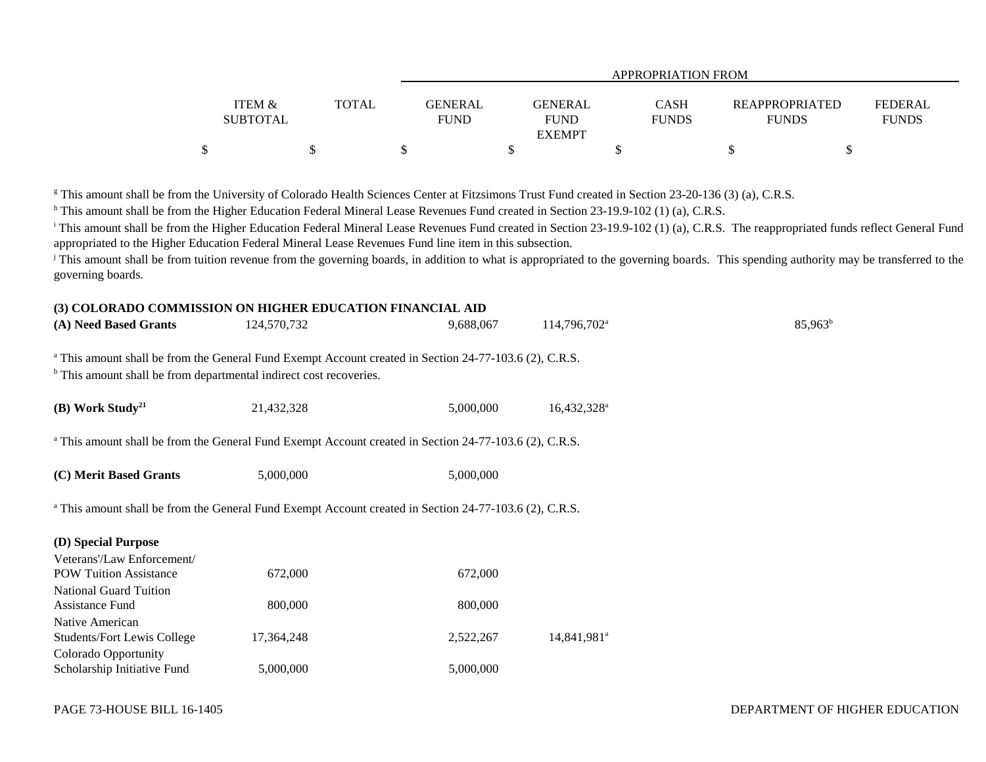|                   |              | APPROPRIATION FROM |                              |              |                       |                |  |  |  |  |  |
|-------------------|--------------|--------------------|------------------------------|--------------|-----------------------|----------------|--|--|--|--|--|
| <b>ITEM &amp;</b> | <b>TOTAL</b> | <b>GENERAL</b>     | <b>GENERAL</b>               | <b>CASH</b>  | <b>REAPPROPRIATED</b> | <b>FEDERAL</b> |  |  |  |  |  |
| <b>SUBTOTAL</b>   |              | <b>FUND</b>        | <b>FUND</b><br><b>EXEMPT</b> | <b>FUNDS</b> | <b>FUNDS</b>          | <b>FUNDS</b>   |  |  |  |  |  |
| \$                |              |                    |                              |              |                       |                |  |  |  |  |  |

<sup>g</sup> This amount shall be from the University of Colorado Health Sciences Center at Fitzsimons Trust Fund created in Section 23-20-136 (3) (a), C.R.S.

h This amount shall be from the Higher Education Federal Mineral Lease Revenues Fund created in Section 23-19.9-102 (1) (a), C.R.S.

<sup>i</sup> This amount shall be from the Higher Education Federal Mineral Lease Revenues Fund created in Section 23-19.9-102 (1) (a), C.R.S. The reappropriated funds reflect General Fund appropriated to the Higher Education Federal Mineral Lease Revenues Fund line item in this subsection.

<sup>j</sup> This amount shall be from tuition revenue from the governing boards, in addition to what is appropriated to the governing boards. This spending authority may be transferred to the governing boards.

#### **(3) COLORADO COMMISSION ON HIGHER EDUCATION FINANCIAL AID**

| (A) Need Based Grants                                                                                                                                                                              | 124,570,732 | 9,688,067 | 114,796,702 <sup>a</sup> | $85,963^b$ |
|----------------------------------------------------------------------------------------------------------------------------------------------------------------------------------------------------|-------------|-----------|--------------------------|------------|
| <sup>a</sup> This amount shall be from the General Fund Exempt Account created in Section 24-77-103.6 (2), C.R.S.<br><sup>b</sup> This amount shall be from departmental indirect cost recoveries. |             |           |                          |            |
| (B) Work Study <sup>21</sup>                                                                                                                                                                       | 21,432,328  | 5,000,000 | 16,432,328 <sup>a</sup>  |            |
| <sup>a</sup> This amount shall be from the General Fund Exempt Account created in Section 24-77-103.6 (2), C.R.S.                                                                                  |             |           |                          |            |
| (C) Merit Based Grants                                                                                                                                                                             | 5,000,000   | 5,000,000 |                          |            |
| <sup>a</sup> This amount shall be from the General Fund Exempt Account created in Section 24-77-103.6 (2), C.R.S.                                                                                  |             |           |                          |            |
| (D) Special Purpose                                                                                                                                                                                |             |           |                          |            |
| Veterans'/Law Enforcement/                                                                                                                                                                         |             |           |                          |            |
| <b>POW Tuition Assistance</b>                                                                                                                                                                      | 672,000     | 672,000   |                          |            |
| <b>National Guard Tuition</b>                                                                                                                                                                      |             |           |                          |            |
| Assistance Fund                                                                                                                                                                                    | 800,000     | 800,000   |                          |            |
| Native American                                                                                                                                                                                    |             |           |                          |            |
| <b>Students/Fort Lewis College</b>                                                                                                                                                                 | 17,364,248  | 2,522,267 | 14,841,981 <sup>a</sup>  |            |
| Colorado Opportunity                                                                                                                                                                               |             |           |                          |            |
| Scholarship Initiative Fund                                                                                                                                                                        | 5,000,000   | 5,000,000 |                          |            |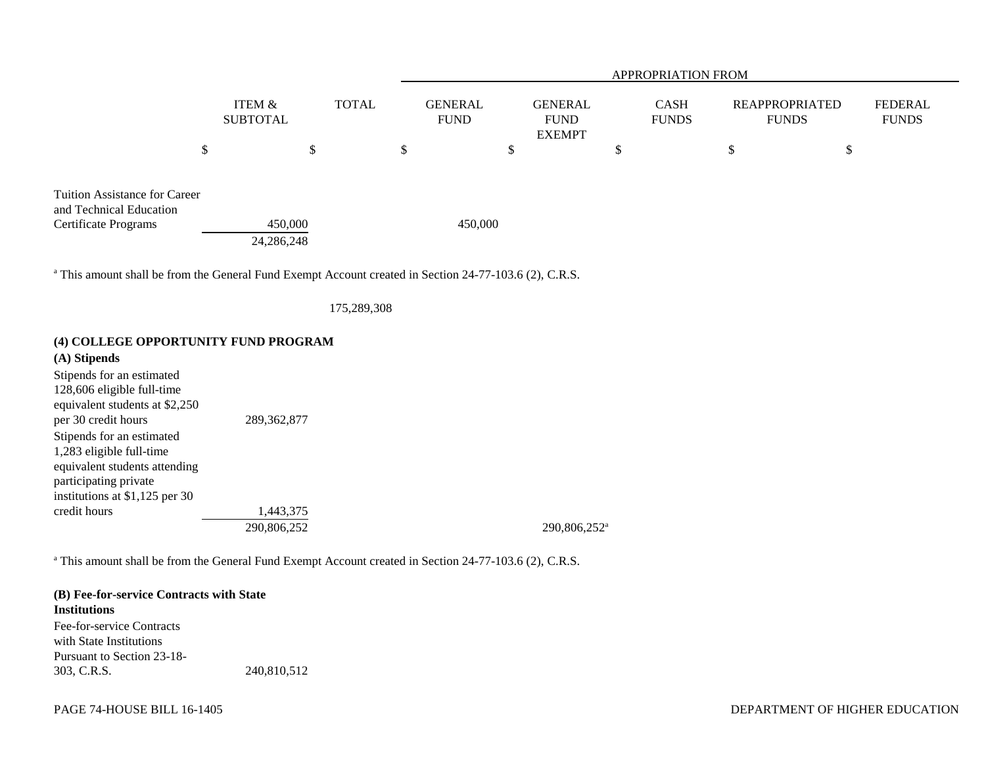|                                                                                                |                           | <b>APPROPRIATION FROM</b> |                               |                                                |                             |                                |                         |  |
|------------------------------------------------------------------------------------------------|---------------------------|---------------------------|-------------------------------|------------------------------------------------|-----------------------------|--------------------------------|-------------------------|--|
|                                                                                                | ITEM &<br><b>SUBTOTAL</b> | <b>TOTAL</b>              | <b>GENERAL</b><br><b>FUND</b> | <b>GENERAL</b><br><b>FUND</b><br><b>EXEMPT</b> | <b>CASH</b><br><b>FUNDS</b> | REAPPROPRIATED<br><b>FUNDS</b> | FEDERAL<br><b>FUNDS</b> |  |
|                                                                                                | \$                        | \$                        | ъ                             | \$                                             | \$                          | \$                             | \$                      |  |
| <b>Tuition Assistance for Career</b><br>and Technical Education<br><b>Certificate Programs</b> | 450,000<br>24,286,248     |                           | 450,000                       |                                                |                             |                                |                         |  |

<sup>a</sup> This amount shall be from the General Fund Exempt Account created in Section 24-77-103.6 (2), C.R.S.

175,289,308

#### **(4) COLLEGE OPPORTUNITY FUND PROGRAM**

# **(A) Stipends** Stipends for an estimated 128,606 eligible full-time equivalent students at \$2,250 per 30 credit hours 289,362,877 Stipends for an estimated 1,283 eligible full-time equivalent students attending participating private institutions at \$1,125 per 30 credit hours 1,443,375 290,806,252<sup>a</sup> 290,806,252<sup>a</sup>

<sup>a</sup> This amount shall be from the General Fund Exempt Account created in Section 24-77-103.6 (2), C.R.S.

# **(B) Fee-for-service Contracts with State Institutions**Fee-for-service Contracts

with State InstitutionsPursuant to Section 23-18-303, C.R.S. 240,810,512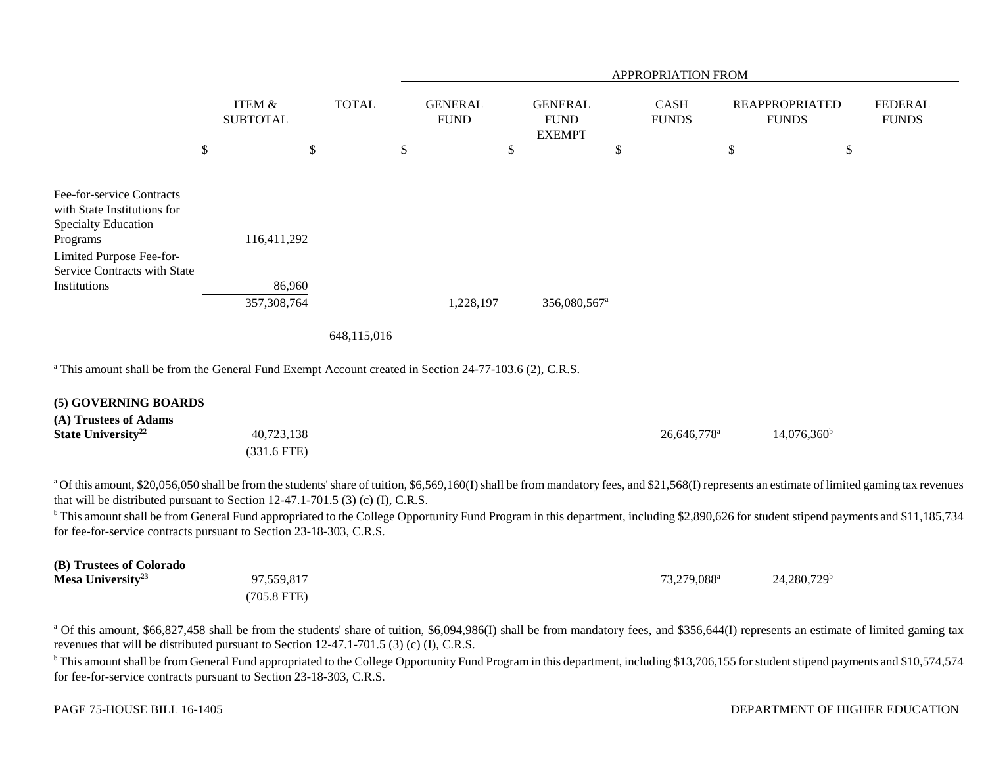|                                                                                                                                                                                                                                                                                   |                                      |                           |      |                               |                           |                                                |      | <b>APPROPRIATION FROM</b>   |                                       |                                |
|-----------------------------------------------------------------------------------------------------------------------------------------------------------------------------------------------------------------------------------------------------------------------------------|--------------------------------------|---------------------------|------|-------------------------------|---------------------------|------------------------------------------------|------|-----------------------------|---------------------------------------|--------------------------------|
|                                                                                                                                                                                                                                                                                   | <b>ITEM &amp;</b><br><b>SUBTOTAL</b> | <b>TOTAL</b>              |      | <b>GENERAL</b><br><b>FUND</b> |                           | <b>GENERAL</b><br><b>FUND</b><br><b>EXEMPT</b> |      | <b>CASH</b><br><b>FUNDS</b> | <b>REAPPROPRIATED</b><br><b>FUNDS</b> | <b>FEDERAL</b><br><b>FUNDS</b> |
|                                                                                                                                                                                                                                                                                   | $\boldsymbol{\mathsf{S}}$            | $\boldsymbol{\mathsf{S}}$ | $\$$ |                               | $\boldsymbol{\mathsf{S}}$ |                                                | $\$$ |                             | \$<br>$\$$                            |                                |
| Fee-for-service Contracts<br>with State Institutions for<br><b>Specialty Education</b><br>Programs<br>Limited Purpose Fee-for-                                                                                                                                                    | 116,411,292                          |                           |      |                               |                           |                                                |      |                             |                                       |                                |
| Service Contracts with State<br>Institutions                                                                                                                                                                                                                                      | 86,960<br>357,308,764                |                           |      | 1,228,197                     |                           | 356,080,567 <sup>a</sup>                       |      |                             |                                       |                                |
|                                                                                                                                                                                                                                                                                   |                                      | 648,115,016               |      |                               |                           |                                                |      |                             |                                       |                                |
| <sup>a</sup> This amount shall be from the General Fund Exempt Account created in Section 24-77-103.6 (2), C.R.S.                                                                                                                                                                 |                                      |                           |      |                               |                           |                                                |      |                             |                                       |                                |
| (5) GOVERNING BOARDS<br>(A) Trustees of Adams<br>State University <sup>22</sup>                                                                                                                                                                                                   | 40,723,138<br>$(331.6$ FTE)          |                           |      |                               |                           |                                                |      | 26,646,778 <sup>a</sup>     | $14,076,360^{\rm b}$                  |                                |
| a Of this amount, \$20,056,050 shall be from the students' share of tuition, \$6,569,160(I) shall be from mandatory fees, and \$21,568(I) represents an estimate of limited gaming tax revenues<br>that will be distributed pursuant to Section 12-47.1-701.5 (3) (c) (I), C.R.S. |                                      |                           |      |                               |                           |                                                |      |                             |                                       |                                |
| <sup>b</sup> This amount shall be from General Fund appropriated to the College Opportunity Fund Program in this department, including \$2,890,626 for student stipend payments and \$11,185,734<br>for fee-for-service contracts pursuant to Section 23-18-303, C.R.S.           |                                      |                           |      |                               |                           |                                                |      |                             |                                       |                                |
| (B) Trustees of Colorado<br>Mesa University <sup>23</sup>                                                                                                                                                                                                                         | 97,559,817<br>$(705.8$ FTE)          |                           |      |                               |                           |                                                |      | 73,279,088 <sup>a</sup>     | $24,280,729$ <sup>b</sup>             |                                |

<sup>a</sup> Of this amount, \$66,827,458 shall be from the students' share of tuition, \$6,094,986(I) shall be from mandatory fees, and \$356,644(I) represents an estimate of limited gaming tax revenues that will be distributed pursuant to Section 12-47.1-701.5 (3) (c) (I), C.R.S.

<sup>b</sup> This amount shall be from General Fund appropriated to the College Opportunity Fund Program in this department, including \$13,706,155 for student stipend payments and \$10,574,574 for fee-for-service contracts pursuant to Section 23-18-303, C.R.S.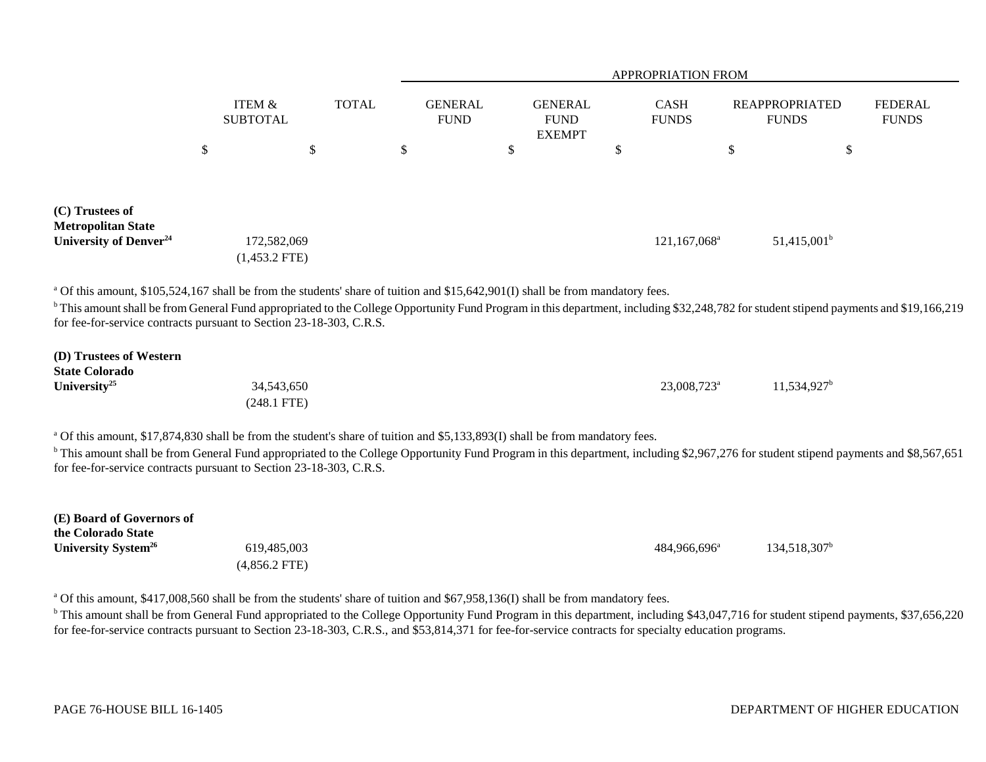|                                                                                                                                                                                                                                                                                                                                                                                                                       |                                |              |                               |                                                | <b>APPROPRIATION FROM</b> |                                       |                                |
|-----------------------------------------------------------------------------------------------------------------------------------------------------------------------------------------------------------------------------------------------------------------------------------------------------------------------------------------------------------------------------------------------------------------------|--------------------------------|--------------|-------------------------------|------------------------------------------------|---------------------------|---------------------------------------|--------------------------------|
|                                                                                                                                                                                                                                                                                                                                                                                                                       | ITEM &<br><b>SUBTOTAL</b>      | <b>TOTAL</b> | <b>GENERAL</b><br><b>FUND</b> | <b>GENERAL</b><br><b>FUND</b><br><b>EXEMPT</b> | CASH<br><b>FUNDS</b>      | <b>REAPPROPRIATED</b><br><b>FUNDS</b> | <b>FEDERAL</b><br><b>FUNDS</b> |
|                                                                                                                                                                                                                                                                                                                                                                                                                       | \$                             | $\$$         | \$<br>\$                      |                                                | \$                        | \$<br>$\boldsymbol{\mathsf{S}}$       |                                |
| (C) Trustees of<br><b>Metropolitan State</b><br>University of Denver <sup>24</sup>                                                                                                                                                                                                                                                                                                                                    | 172,582,069<br>$(1,453.2$ FTE) |              |                               |                                                | 121,167,068 <sup>a</sup>  | $51,415,001^b$                        |                                |
| <sup>a</sup> Of this amount, \$105,524,167 shall be from the students' share of tuition and \$15,642,901(I) shall be from mandatory fees.<br><sup>b</sup> This amount shall be from General Fund appropriated to the College Opportunity Fund Program in this department, including \$32,248,782 for student stipend payments and \$19,166,219<br>for fee-for-service contracts pursuant to Section 23-18-303, C.R.S. |                                |              |                               |                                                |                           |                                       |                                |
| (D) Trustees of Western<br><b>State Colorado</b><br>University <sup>25</sup>                                                                                                                                                                                                                                                                                                                                          | 34,543,650<br>$(248.1$ FTE)    |              |                               |                                                | 23,008,723 <sup>a</sup>   | $11,534,927^b$                        |                                |
| <sup>a</sup> Of this amount, \$17,874,830 shall be from the student's share of tuition and \$5,133,893(I) shall be from mandatory fees.<br><sup>b</sup> This amount shall be from General Fund appropriated to the College Opportunity Fund Program in this department, including \$2,967,276 for student stipend payments and \$8,567,651<br>for fee-for-service contracts pursuant to Section 23-18-303, C.R.S.     |                                |              |                               |                                                |                           |                                       |                                |
| (E) Board of Governors of<br>the Colorado State<br>University System <sup>26</sup>                                                                                                                                                                                                                                                                                                                                    | 619,485,003<br>$(4,856.2$ FTE) |              |                               |                                                | 484,966,696 <sup>a</sup>  | 134,518,307 <sup>b</sup>              |                                |
| <sup>a</sup> Of this amount, \$417,008,560 shall be from the students' share of tuition and \$67,958,136(I) shall be from mandatory fees.                                                                                                                                                                                                                                                                             |                                |              |                               |                                                |                           |                                       |                                |

<sup>b</sup> This amount shall be from General Fund appropriated to the College Opportunity Fund Program in this department, including \$43,047,716 for student stipend payments, \$37,656,220 for fee-for-service contracts pursuant to Section 23-18-303, C.R.S., and \$53,814,371 for fee-for-service contracts for specialty education programs.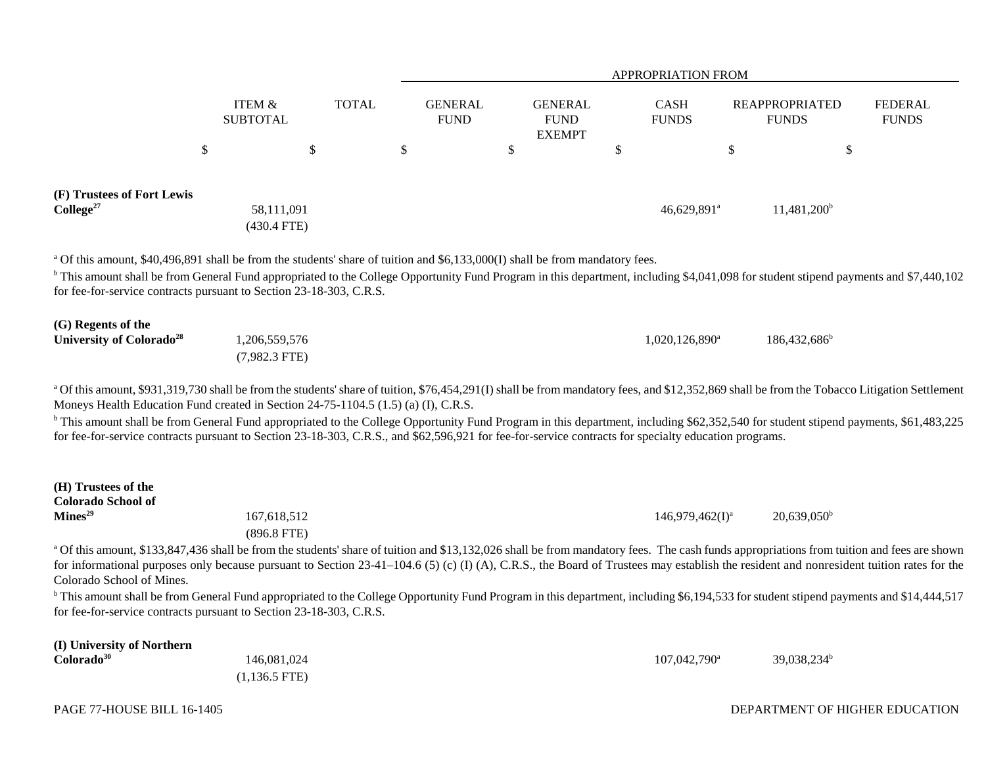|                                                                                                                                                                                                                                                                                                                                                                                                                                                                                                                                                                                                                                                                                              |                                  |              |                               |               |                                                | <b>APPROPRIATION FROM</b>      |        |                                       |                                |
|----------------------------------------------------------------------------------------------------------------------------------------------------------------------------------------------------------------------------------------------------------------------------------------------------------------------------------------------------------------------------------------------------------------------------------------------------------------------------------------------------------------------------------------------------------------------------------------------------------------------------------------------------------------------------------------------|----------------------------------|--------------|-------------------------------|---------------|------------------------------------------------|--------------------------------|--------|---------------------------------------|--------------------------------|
|                                                                                                                                                                                                                                                                                                                                                                                                                                                                                                                                                                                                                                                                                              | ITEM &<br><b>SUBTOTAL</b>        | <b>TOTAL</b> | <b>GENERAL</b><br><b>FUND</b> |               | <b>GENERAL</b><br><b>FUND</b><br><b>EXEMPT</b> | <b>CASH</b><br><b>FUNDS</b>    |        | <b>REAPPROPRIATED</b><br><b>FUNDS</b> | <b>FEDERAL</b><br><b>FUNDS</b> |
|                                                                                                                                                                                                                                                                                                                                                                                                                                                                                                                                                                                                                                                                                              | \$                               | \$           | \$                            | $\mathcal{S}$ |                                                | \$                             | $\$\,$ | \$                                    |                                |
| (F) Trustees of Fort Lewis<br>College <sup>27</sup>                                                                                                                                                                                                                                                                                                                                                                                                                                                                                                                                                                                                                                          | 58,111,091<br>$(430.4$ FTE)      |              |                               |               |                                                | 46,629,891 <sup>a</sup>        |        | $11,481,200^b$                        |                                |
| <sup>a</sup> Of this amount, \$40,496,891 shall be from the students' share of tuition and \$6,133,000(I) shall be from mandatory fees.<br><sup>b</sup> This amount shall be from General Fund appropriated to the College Opportunity Fund Program in this department, including \$4,041,098 for student stipend payments and \$7,440,102<br>for fee-for-service contracts pursuant to Section 23-18-303, C.R.S.                                                                                                                                                                                                                                                                            |                                  |              |                               |               |                                                |                                |        |                                       |                                |
| (G) Regents of the<br>University of Colorado <sup>28</sup>                                                                                                                                                                                                                                                                                                                                                                                                                                                                                                                                                                                                                                   | 1,206,559,576<br>$(7,982.3$ FTE) |              |                               |               |                                                | $1,020,126,890^{\circ}$        |        | $186,432,686^b$                       |                                |
| a Of this amount, \$931,319,730 shall be from the students' share of tuition, \$76,454,291(I) shall be from mandatory fees, and \$12,352,869 shall be from the Tobacco Litigation Settlement<br>Moneys Health Education Fund created in Section 24-75-1104.5 (1.5) (a) (I), C.R.S.<br><sup>b</sup> This amount shall be from General Fund appropriated to the College Opportunity Fund Program in this department, including \$62,352,540 for student stipend payments, \$61,483,225<br>for fee-for-service contracts pursuant to Section 23-18-303, C.R.S., and \$62,596,921 for fee-for-service contracts for specialty education programs.                                                |                                  |              |                               |               |                                                |                                |        |                                       |                                |
| (H) Trustees of the<br><b>Colorado School of</b><br>Mines <sup>29</sup>                                                                                                                                                                                                                                                                                                                                                                                                                                                                                                                                                                                                                      | 167,618,512<br>$(896.8$ FTE)     |              |                               |               |                                                | $146,979,462($ I) <sup>a</sup> |        | $20,639,050^{\rm b}$                  |                                |
| a Of this amount, \$133,847,436 shall be from the students' share of tuition and \$13,132,026 shall be from mandatory fees. The cash funds appropriations from tuition and fees are shown<br>for informational purposes only because pursuant to Section 23-41-104.6 (5) (c) (I) (A), C.R.S., the Board of Trustees may establish the resident and nonresident tuition rates for the<br>Colorado School of Mines.<br><sup>b</sup> This amount shall be from General Fund appropriated to the College Opportunity Fund Program in this department, including \$6,194,533 for student stipend payments and \$14,444,517<br>for fee-for-service contracts pursuant to Section 23-18-303, C.R.S. |                                  |              |                               |               |                                                |                                |        |                                       |                                |

| (I) University of Northern |                 |                            |                |
|----------------------------|-----------------|----------------------------|----------------|
| Colorado <sup>30</sup>     | 146,081,024     | $107,042,790$ <sup>a</sup> | $39,038,234^b$ |
|                            | $(1,136.5$ FTE) |                            |                |

### DEPARTMENT OF HIGHER EDUCATION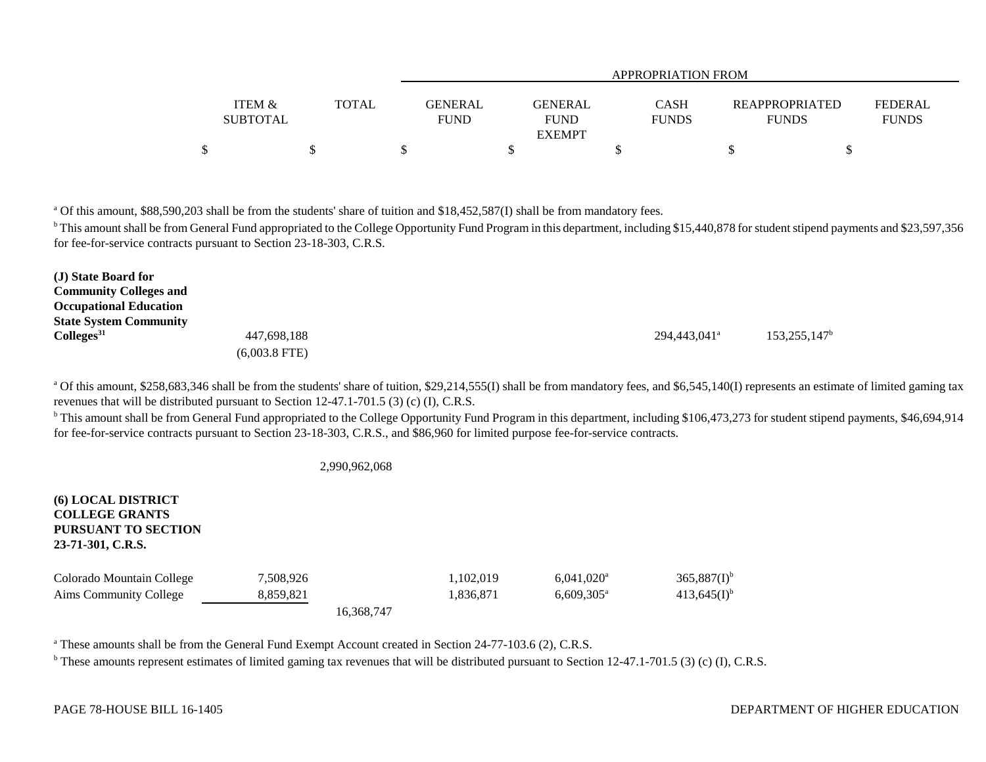|                                      |              | APPROPRIATION FROM                               |                      |                                       |                         |  |  |  |  |  |  |
|--------------------------------------|--------------|--------------------------------------------------|----------------------|---------------------------------------|-------------------------|--|--|--|--|--|--|
| <b>ITEM &amp;</b><br><b>SUBTOTAL</b> | <b>TOTAL</b> | GENERAL<br>GENERAL<br><b>FUND</b><br><b>FUND</b> | CASH<br><b>FUNDS</b> | <b>REAPPROPRIATED</b><br><b>FUNDS</b> | FEDERAL<br><b>FUNDS</b> |  |  |  |  |  |  |
|                                      |              | <b>EXEMPT</b>                                    |                      |                                       |                         |  |  |  |  |  |  |
| Φ                                    |              |                                                  |                      |                                       |                         |  |  |  |  |  |  |

<sup>a</sup> Of this amount, \$88,590,203 shall be from the students' share of tuition and \$18,452,587(I) shall be from mandatory fees.

<sup>b</sup> This amount shall be from General Fund appropriated to the College Opportunity Fund Program in this department, including \$15,440,878 for student stipend payments and \$23,597,356 for fee-for-service contracts pursuant to Section 23-18-303, C.R.S.

| (J) State Board for           |                 |                          |                       |
|-------------------------------|-----------------|--------------------------|-----------------------|
| <b>Community Colleges and</b> |                 |                          |                       |
| <b>Occupational Education</b> |                 |                          |                       |
| <b>State System Community</b> |                 |                          |                       |
| Colleges <sup>31</sup>        | 447,698,188     | 294,443,041 <sup>a</sup> | $153,255,147^{\rm b}$ |
|                               | $(6,003.8$ FTE) |                          |                       |

<sup>a</sup> Of this amount, \$258,683,346 shall be from the students' share of tuition, \$29,214,555(I) shall be from mandatory fees, and \$6,545,140(I) represents an estimate of limited gaming tax revenues that will be distributed pursuant to Section 12-47.1-701.5 (3) (c) (I), C.R.S.

<sup>b</sup> This amount shall be from General Fund appropriated to the College Opportunity Fund Program in this department, including \$106,473,273 for student stipend payments, \$46,694,914 for fee-for-service contracts pursuant to Section 23-18-303, C.R.S., and \$86,960 for limited purpose fee-for-service contracts.

#### 2,990,962,068

| <b>(6) LOCAL DISTRICT</b><br><b>COLLEGE GRANTS</b><br><b>PURSUANT TO SECTION</b><br>23-71-301, C.R.S. |           |            |           |                          |                  |
|-------------------------------------------------------------------------------------------------------|-----------|------------|-----------|--------------------------|------------------|
| Colorado Mountain College                                                                             | 7,508,926 |            | 1,102,019 | $6,041,020$ <sup>a</sup> | $365,887(I)^{b}$ |
| Aims Community College                                                                                | 8,859,821 |            | 1,836,871 | $6,609,305^{\circ}$      | $413,645(I)^{b}$ |
|                                                                                                       |           | 16.368.747 |           |                          |                  |

<sup>a</sup> These amounts shall be from the General Fund Exempt Account created in Section 24-77-103.6 (2), C.R.S.

 $^{\circ}$  These amounts represent estimates of limited gaming tax revenues that will be distributed pursuant to Section 12-47.1-701.5 (3) (c) (I), C.R.S.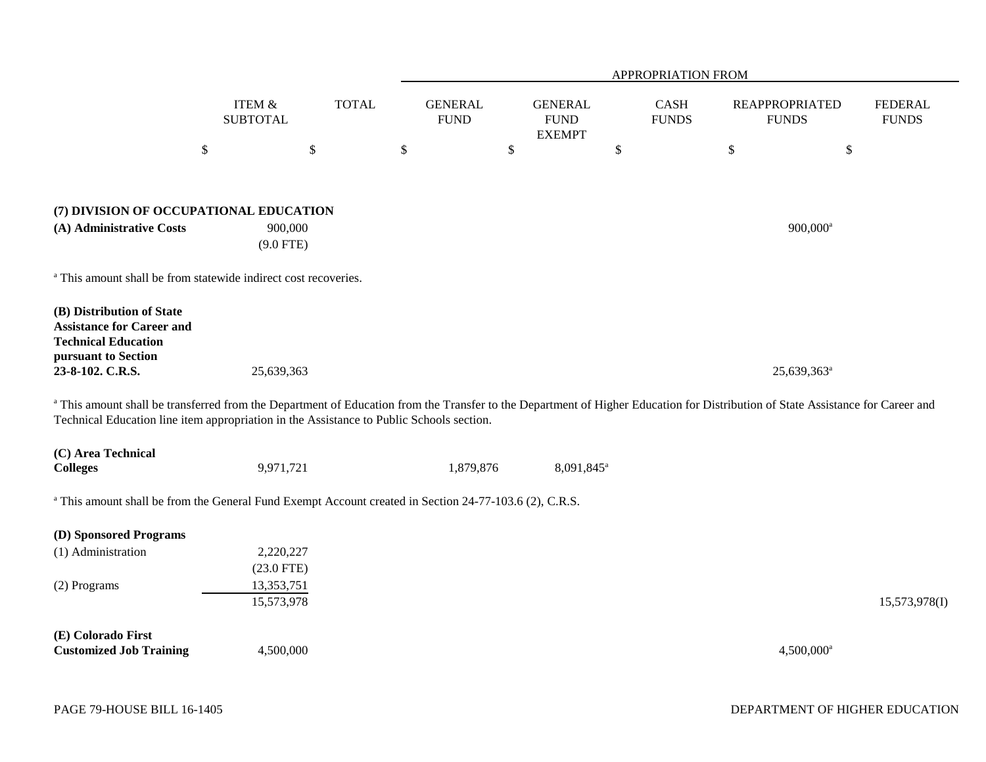|                                                                                                                                                                                                                                                                             |                                      |              |                               |                                                | APPROPRIATION FROM   |                                       |                                |
|-----------------------------------------------------------------------------------------------------------------------------------------------------------------------------------------------------------------------------------------------------------------------------|--------------------------------------|--------------|-------------------------------|------------------------------------------------|----------------------|---------------------------------------|--------------------------------|
|                                                                                                                                                                                                                                                                             | <b>ITEM &amp;</b><br><b>SUBTOTAL</b> | <b>TOTAL</b> | <b>GENERAL</b><br><b>FUND</b> | <b>GENERAL</b><br><b>FUND</b><br><b>EXEMPT</b> | CASH<br><b>FUNDS</b> | <b>REAPPROPRIATED</b><br><b>FUNDS</b> | <b>FEDERAL</b><br><b>FUNDS</b> |
|                                                                                                                                                                                                                                                                             | $\$$                                 | $\$$         | \$                            | \$                                             | $\$$                 | \$<br>$\$$                            |                                |
|                                                                                                                                                                                                                                                                             |                                      |              |                               |                                                |                      |                                       |                                |
| (7) DIVISION OF OCCUPATIONAL EDUCATION                                                                                                                                                                                                                                      |                                      |              |                               |                                                |                      |                                       |                                |
| (A) Administrative Costs                                                                                                                                                                                                                                                    | 900,000<br>$(9.0$ FTE)               |              |                               |                                                |                      | $900,000$ <sup>a</sup>                |                                |
| <sup>a</sup> This amount shall be from statewide indirect cost recoveries.                                                                                                                                                                                                  |                                      |              |                               |                                                |                      |                                       |                                |
| (B) Distribution of State<br><b>Assistance for Career and</b><br><b>Technical Education</b><br>pursuant to Section                                                                                                                                                          |                                      |              |                               |                                                |                      |                                       |                                |
| 23-8-102. C.R.S.                                                                                                                                                                                                                                                            | 25,639,363                           |              |                               |                                                |                      | 25,639,363 <sup>a</sup>               |                                |
| a This amount shall be transferred from the Department of Education from the Transfer to the Department of Higher Education for Distribution of State Assistance for Career and<br>Technical Education line item appropriation in the Assistance to Public Schools section. |                                      |              |                               |                                                |                      |                                       |                                |
| (C) Area Technical<br><b>Colleges</b>                                                                                                                                                                                                                                       | 9,971,721                            |              | 1,879,876                     | 8,091,845 <sup>a</sup>                         |                      |                                       |                                |
| <sup>a</sup> This amount shall be from the General Fund Exempt Account created in Section 24-77-103.6 (2), C.R.S.                                                                                                                                                           |                                      |              |                               |                                                |                      |                                       |                                |
| (D) Sponsored Programs                                                                                                                                                                                                                                                      |                                      |              |                               |                                                |                      |                                       |                                |
| (1) Administration                                                                                                                                                                                                                                                          | 2,220,227                            |              |                               |                                                |                      |                                       |                                |
| (2) Programs                                                                                                                                                                                                                                                                | $(23.0$ FTE)<br>13,353,751           |              |                               |                                                |                      |                                       |                                |
|                                                                                                                                                                                                                                                                             | 15,573,978                           |              |                               |                                                |                      |                                       | 15,573,978(I)                  |
| (E) Colorado First<br><b>Customized Job Training</b>                                                                                                                                                                                                                        | 4,500,000                            |              |                               |                                                |                      | $4,500,000$ <sup>a</sup>              |                                |
|                                                                                                                                                                                                                                                                             |                                      |              |                               |                                                |                      |                                       |                                |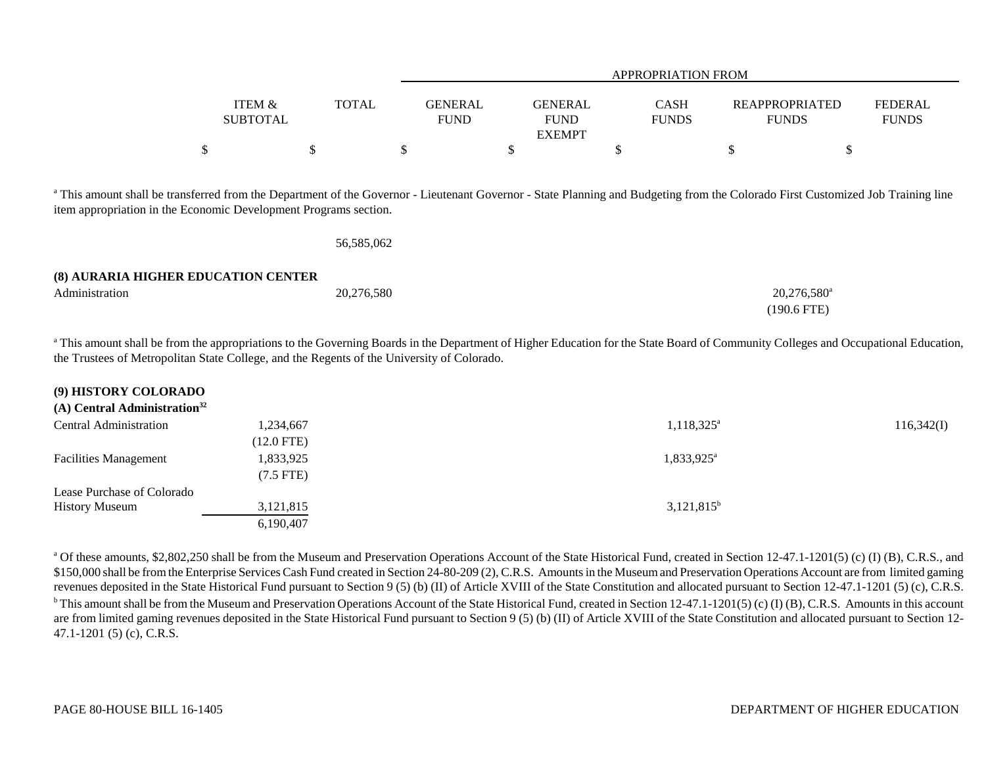|                |                                                                                            |              | <b>APPROPRIATION FROM</b>     |                                                |    |                             |                                                                                                                                                                                             |                                |  |  |
|----------------|--------------------------------------------------------------------------------------------|--------------|-------------------------------|------------------------------------------------|----|-----------------------------|---------------------------------------------------------------------------------------------------------------------------------------------------------------------------------------------|--------------------------------|--|--|
|                | <b>ITEM &amp;</b><br><b>SUBTOTAL</b>                                                       | <b>TOTAL</b> | <b>GENERAL</b><br><b>FUND</b> | <b>GENERAL</b><br><b>FUND</b><br><b>EXEMPT</b> |    | <b>CASH</b><br><b>FUNDS</b> | <b>REAPPROPRIATED</b><br><b>FUNDS</b>                                                                                                                                                       | <b>FEDERAL</b><br><b>FUNDS</b> |  |  |
|                | \$                                                                                         | \$           | \$                            | \$                                             | J. |                             | \$<br>\$                                                                                                                                                                                    |                                |  |  |
|                | item appropriation in the Economic Development Programs section.                           | 56,585,062   |                               |                                                |    |                             | <sup>a</sup> This amount shall be transferred from the Department of the Governor - Lieutenant Governor - State Planning and Budgeting from the Colorado First Customized Job Training line |                                |  |  |
|                | (8) AURARIA HIGHER EDUCATION CENTER                                                        |              |                               |                                                |    |                             |                                                                                                                                                                                             |                                |  |  |
| Administration |                                                                                            | 20,276,580   |                               |                                                |    |                             | 20,276,580 <sup>a</sup>                                                                                                                                                                     |                                |  |  |
|                |                                                                                            |              |                               |                                                |    |                             | $(190.6$ FTE)                                                                                                                                                                               |                                |  |  |
|                | the Trustees of Metropolitan State College, and the Regents of the University of Colorado. |              |                               |                                                |    |                             | This amount shall be from the appropriations to the Governing Boards in the Department of Higher Education for the State Board of Community Colleges and Occupational Education,            |                                |  |  |

| (9) HISTORY COLORADO |  |
|----------------------|--|
|----------------------|--|

|  |  | $(A)$ Central Administration <sup>32</sup> |
|--|--|--------------------------------------------|
|--|--|--------------------------------------------|

| Central Administration       | 1,234,667    | $1,118,325^{\circ}$    | 116,342(I) |
|------------------------------|--------------|------------------------|------------|
|                              | $(12.0$ FTE) |                        |            |
| <b>Facilities Management</b> | 1,833,925    | 1,833,925 <sup>a</sup> |            |
|                              | (7.5 FTE)    |                        |            |
| Lease Purchase of Colorado   |              |                        |            |
| <b>History Museum</b>        | 3,121,815    | $3,121,815^b$          |            |
|                              | 6,190,407    |                        |            |

<sup>a</sup> Of these amounts, \$2,802,250 shall be from the Museum and Preservation Operations Account of the State Historical Fund, created in Section 12-47.1-1201(5) (c) (I) (B), C.R.S., and \$150,000 shall be from the Enterprise Services Cash Fund created in Section 24-80-209 (2), C.R.S. Amounts in the Museum and Preservation Operations Account are from limited gaming revenues deposited in the State Historical Fund pursuant to Section 9 (5) (b) (II) of Article XVIII of the State Constitution and allocated pursuant to Section 12-47.1-1201 (5) (c), C.R.S.  $b$  This amount shall be from the Museum and Preservation Operations Account of the State Historical Fund, created in Section 12-47.1-1201(5) (c) (I) (B), C.R.S. Amounts in this account are from limited gaming revenues deposited in the State Historical Fund pursuant to Section 9 (5) (b) (II) of Article XVIII of the State Constitution and allocated pursuant to Section 12-47.1-1201 (5) (c), C.R.S.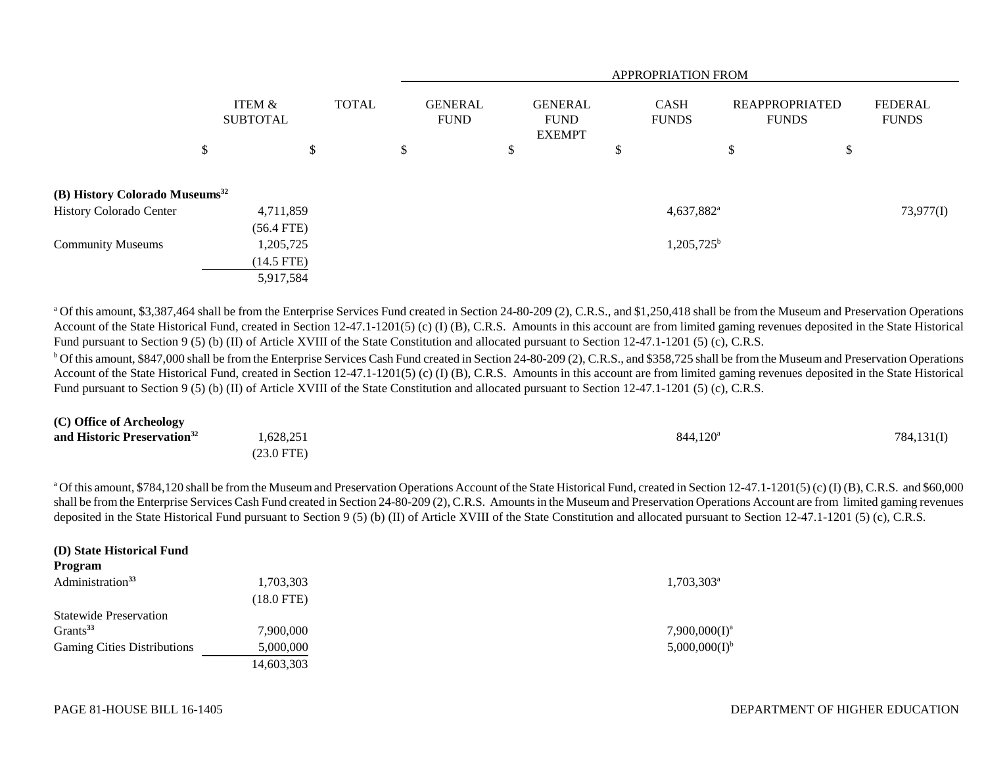|                                            |              |                 |              | <b>APPROPRIATION FROM</b> |                               |    |                                                |    |                             |    |                                       |                                |
|--------------------------------------------|--------------|-----------------|--------------|---------------------------|-------------------------------|----|------------------------------------------------|----|-----------------------------|----|---------------------------------------|--------------------------------|
|                                            | ITEM &       | <b>SUBTOTAL</b> | <b>TOTAL</b> |                           | <b>GENERAL</b><br><b>FUND</b> |    | <b>GENERAL</b><br><b>FUND</b><br><b>EXEMPT</b> |    | <b>CASH</b><br><b>FUNDS</b> |    | <b>REAPPROPRIATED</b><br><b>FUNDS</b> | <b>FEDERAL</b><br><b>FUNDS</b> |
|                                            | \$           | \$              |              | \$                        |                               | \$ |                                                | \$ |                             | \$ | \$                                    |                                |
| (B) History Colorado Museums <sup>32</sup> |              |                 |              |                           |                               |    |                                                |    |                             |    |                                       |                                |
| History Colorado Center                    | 4,711,859    |                 |              |                           |                               |    |                                                |    | $4,637,882$ <sup>a</sup>    |    |                                       | 73,977(I)                      |
|                                            | $(56.4$ FTE) |                 |              |                           |                               |    |                                                |    |                             |    |                                       |                                |
| <b>Community Museums</b>                   | 1,205,725    |                 |              |                           |                               |    |                                                |    | $1,205,725^b$               |    |                                       |                                |
|                                            | $(14.5$ FTE) |                 |              |                           |                               |    |                                                |    |                             |    |                                       |                                |
|                                            | 5,917,584    |                 |              |                           |                               |    |                                                |    |                             |    |                                       |                                |

<sup>a</sup> Of this amount, \$3,387,464 shall be from the Enterprise Services Fund created in Section 24-80-209 (2), C.R.S., and \$1,250,418 shall be from the Museum and Preservation Operations Account of the State Historical Fund, created in Section 12-47.1-1201(5) (c) (I) (B), C.R.S. Amounts in this account are from limited gaming revenues deposited in the State Historical Fund pursuant to Section 9 (5) (b) (II) of Article XVIII of the State Constitution and allocated pursuant to Section 12-47.1-1201 (5) (c), C.R.S.

 $b$  Of this amount, \$847,000 shall be from the Enterprise Services Cash Fund created in Section 24-80-209 (2), C.R.S., and \$358,725 shall be from the Museum and Preservation Operations Account of the State Historical Fund, created in Section 12-47.1-1201(5) (c) (I) (B), C.R.S. Amounts in this account are from limited gaming revenues deposited in the State Historical Fund pursuant to Section 9 (5) (b) (II) of Article XVIII of the State Constitution and allocated pursuant to Section 12-47.1-1201 (5) (c), C.R.S.

| (C) Office of Archeology                |              |                      |            |
|-----------------------------------------|--------------|----------------------|------------|
| and Historic Preservation <sup>32</sup> | 1,628,251    | 844.120 <sup>a</sup> | 784,131(I) |
|                                         | $(23.0$ FTE) |                      |            |

a Of this amount, \$784,120 shall be from the Museum and Preservation Operations Account of the State Historical Fund, created in Section 12-47.1-1201(5) (c) (I) (B), C.R.S. and \$60,000 shall be from the Enterprise Services Cash Fund created in Section 24-80-209 (2), C.R.S. Amounts in the Museum and Preservation Operations Account are from limited gaming revenues deposited in the State Historical Fund pursuant to Section 9 (5) (b) (II) of Article XVIII of the State Constitution and allocated pursuant to Section 12-47.1-1201 (5) (c), C.R.S.

| (D) State Historical Fund<br>Program |              |                     |
|--------------------------------------|--------------|---------------------|
| Administration <sup>33</sup>         | 1,703,303    | $1,703,303^{\circ}$ |
|                                      | $(18.0$ FTE) |                     |
| <b>Statewide Preservation</b>        |              |                     |
| Grants <sup>33</sup>                 | 7,900,000    | $7,900,000(I)^a$    |
| <b>Gaming Cities Distributions</b>   | 5,000,000    | $5,000,000(I)^{b}$  |
|                                      | 14,603,303   |                     |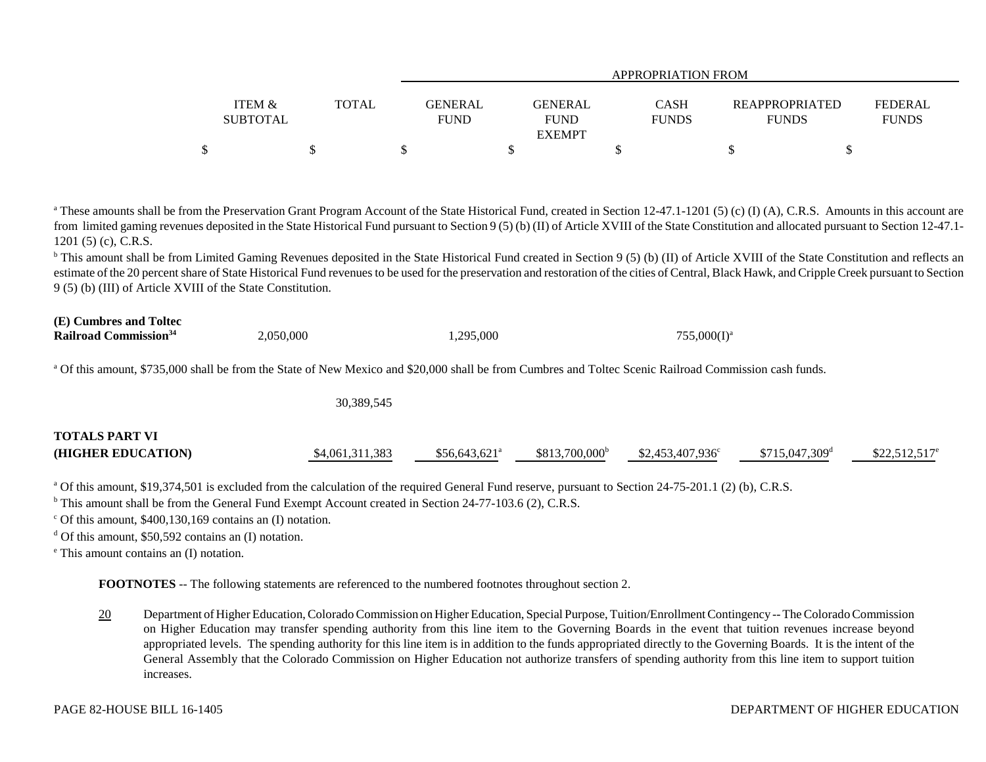|                                      |       |                        | APPROPRIATION FROM            |                      |                                       |                         |  |  |  |  |  |
|--------------------------------------|-------|------------------------|-------------------------------|----------------------|---------------------------------------|-------------------------|--|--|--|--|--|
| <b>ITEM &amp;</b><br><b>SUBTOTAL</b> | TOTAL | GENERAL<br><b>FUND</b> | <b>GENERAL</b><br><b>FUND</b> | CASH<br><b>FUNDS</b> | <b>REAPPROPRIATED</b><br><b>FUNDS</b> | FEDERAL<br><b>FUNDS</b> |  |  |  |  |  |
| ሶ                                    |       |                        | <b>EXEMPT</b>                 |                      |                                       |                         |  |  |  |  |  |

<sup>a</sup> These amounts shall be from the Preservation Grant Program Account of the State Historical Fund, created in Section 12-47.1-1201 (5) (c) (I) (A), C.R.S. Amounts in this account are from limited gaming revenues deposited in the State Historical Fund pursuant to Section 9 (5) (b) (II) of Article XVIII of the State Constitution and allocated pursuant to Section 12-47.1-1201 (5) (c), C.R.S.

<sup>b</sup> This amount shall be from Limited Gaming Revenues deposited in the State Historical Fund created in Section 9 (5) (b) (II) of Article XVIII of the State Constitution and reflects an estimate of the 20 percent share of State Historical Fund revenues to be used for the preservation and restoration of the cities of Central, Black Hawk, and Cripple Creek pursuant to Section 9 (5) (b) (III) of Article XVIII of the State Constitution.

| (E) Cumbres and Toltec<br>Railroad Commission <sup>34</sup> | 2.050.000 | 1.295.000                                                                                                                                                         | $755,000(1)^a$ |
|-------------------------------------------------------------|-----------|-------------------------------------------------------------------------------------------------------------------------------------------------------------------|----------------|
|                                                             |           | <sup>a</sup> Of this amount, \$735,000 shall be from the State of New Mexico and \$20,000 shall be from Cumbres and Toltec Scenic Railroad Commission cash funds. |                |

|                                             | 30,389,545      |                           |                  |                          |                             |                       |
|---------------------------------------------|-----------------|---------------------------|------------------|--------------------------|-----------------------------|-----------------------|
| <b>TOTALS PART VI</b><br>(HIGHER EDUCATION) | \$4,061,311,383 | \$56.643.621 <sup>a</sup> | $$813,700,000^b$ | $$2,453,407,936^{\circ}$ | $$715,047,309$ <sup>d</sup> | $$22,512,517^{\circ}$ |

<sup>a</sup> Of this amount, \$19,374,501 is excluded from the calculation of the required General Fund reserve, pursuant to Section 24-75-201.1 (2) (b), C.R.S.

<sup>b</sup> This amount shall be from the General Fund Exempt Account created in Section 24-77-103.6 (2), C.R.S.

 $\degree$  Of this amount, \$400,130,169 contains an (I) notation.

 $d$  Of this amount, \$50,592 contains an (I) notation.

e This amount contains an (I) notation.

**FOOTNOTES** -- The following statements are referenced to the numbered footnotes throughout section 2.

20 Department of Higher Education, Colorado Commission on Higher Education, Special Purpose, Tuition/Enrollment Contingency -- The Colorado Commission on Higher Education may transfer spending authority from this line item to the Governing Boards in the event that tuition revenues increase beyond appropriated levels. The spending authority for this line item is in addition to the funds appropriated directly to the Governing Boards. It is the intent of the General Assembly that the Colorado Commission on Higher Education not authorize transfers of spending authority from this line item to support tuition increases.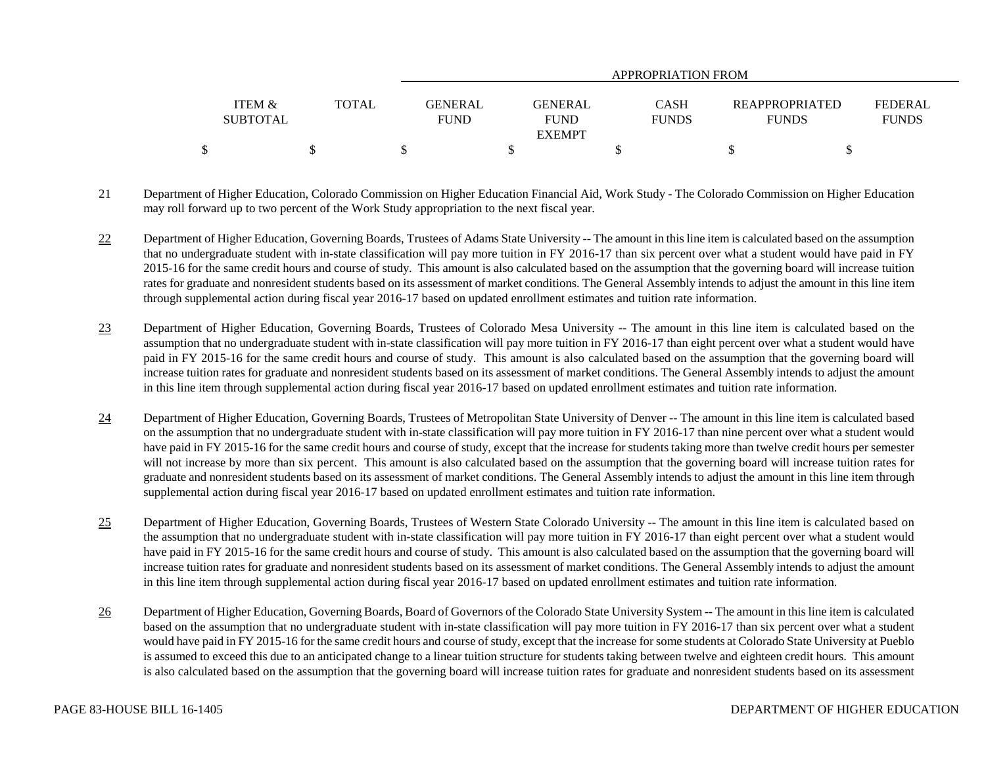|                   |              | APPROPRIATION FROM |                |              |                       |                |  |
|-------------------|--------------|--------------------|----------------|--------------|-----------------------|----------------|--|
|                   |              |                    |                |              |                       |                |  |
| <b>ITEM &amp;</b> | <b>TOTAL</b> | <b>GENERAL</b>     | <b>GENERAL</b> | CASH         | <b>REAPPROPRIATED</b> | <b>FEDERAL</b> |  |
| <b>SUBTOTAL</b>   |              | <b>FUND</b>        | <b>FUND</b>    | <b>FUNDS</b> | <b>FUNDS</b>          | <b>FUNDS</b>   |  |
|                   |              |                    | <b>EXEMPT</b>  |              |                       |                |  |
|                   |              |                    |                |              |                       |                |  |

- 21 Department of Higher Education, Colorado Commission on Higher Education Financial Aid, Work Study The Colorado Commission on Higher Education may roll forward up to two percent of the Work Study appropriation to the next fiscal year.
- 22 Department of Higher Education, Governing Boards, Trustees of Adams State University -- The amount in this line item is calculated based on the assumption that no undergraduate student with in-state classification will pay more tuition in FY 2016-17 than six percent over what a student would have paid in FY 2015-16 for the same credit hours and course of study. This amount is also calculated based on the assumption that the governing board will increase tuition rates for graduate and nonresident students based on its assessment of market conditions. The General Assembly intends to adjust the amount in this line item through supplemental action during fiscal year 2016-17 based on updated enrollment estimates and tuition rate information.
- 23 Department of Higher Education, Governing Boards, Trustees of Colorado Mesa University -- The amount in this line item is calculated based on the assumption that no undergraduate student with in-state classification will pay more tuition in FY 2016-17 than eight percent over what a student would have paid in FY 2015-16 for the same credit hours and course of study. This amount is also calculated based on the assumption that the governing board will increase tuition rates for graduate and nonresident students based on its assessment of market conditions. The General Assembly intends to adjust the amount in this line item through supplemental action during fiscal year 2016-17 based on updated enrollment estimates and tuition rate information.
- 24 Department of Higher Education, Governing Boards, Trustees of Metropolitan State University of Denver -- The amount in this line item is calculated based on the assumption that no undergraduate student with in-state classification will pay more tuition in FY 2016-17 than nine percent over what a student would have paid in FY 2015-16 for the same credit hours and course of study, except that the increase for students taking more than twelve credit hours per semester will not increase by more than six percent. This amount is also calculated based on the assumption that the governing board will increase tuition rates for graduate and nonresident students based on its assessment of market conditions. The General Assembly intends to adjust the amount in this line item through supplemental action during fiscal year 2016-17 based on updated enrollment estimates and tuition rate information.
- 25 Department of Higher Education, Governing Boards, Trustees of Western State Colorado University -- The amount in this line item is calculated based on the assumption that no undergraduate student with in-state classification will pay more tuition in FY 2016-17 than eight percent over what a student would have paid in FY 2015-16 for the same credit hours and course of study. This amount is also calculated based on the assumption that the governing board will increase tuition rates for graduate and nonresident students based on its assessment of market conditions. The General Assembly intends to adjust the amount in this line item through supplemental action during fiscal year 2016-17 based on updated enrollment estimates and tuition rate information.
- 26 Department of Higher Education, Governing Boards, Board of Governors of the Colorado State University System -- The amount in this line item is calculated based on the assumption that no undergraduate student with in-state classification will pay more tuition in FY 2016-17 than six percent over what a student would have paid in FY 2015-16 for the same credit hours and course of study, except that the increase for some students at Colorado State University at Pueblo is assumed to exceed this due to an anticipated change to a linear tuition structure for students taking between twelve and eighteen credit hours. This amount is also calculated based on the assumption that the governing board will increase tuition rates for graduate and nonresident students based on its assessment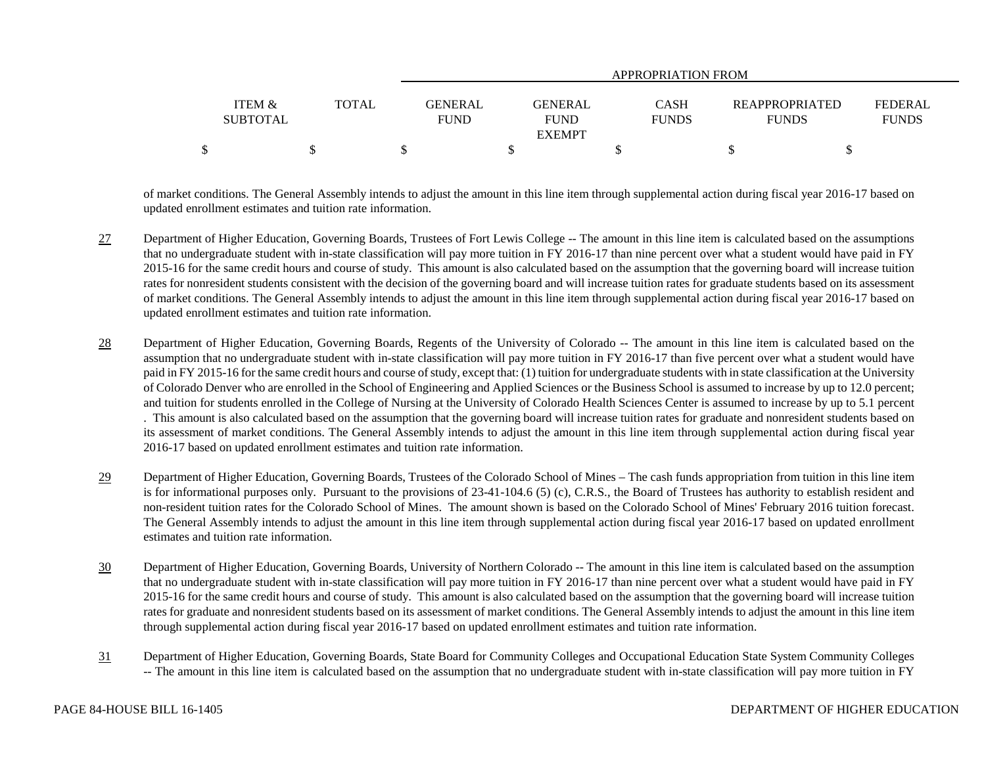|                   |              |                | APPROPRIATION FROM |              |                       |                |  |  |
|-------------------|--------------|----------------|--------------------|--------------|-----------------------|----------------|--|--|
|                   |              |                |                    |              |                       |                |  |  |
| <b>ITEM &amp;</b> | <b>TOTAL</b> | <b>GENERAL</b> | <b>GENERAL</b>     | CASH         | <b>REAPPROPRIATED</b> | <b>FEDERAL</b> |  |  |
| <b>SUBTOTAL</b>   |              | <b>FUND</b>    | <b>FUND</b>        | <b>FUNDS</b> | <b>FUNDS</b>          | <b>FUNDS</b>   |  |  |
| <b>EXEMPT</b>     |              |                |                    |              |                       |                |  |  |
| \$                |              |                |                    |              |                       |                |  |  |

of market conditions. The General Assembly intends to adjust the amount in this line item through supplemental action during fiscal year 2016-17 based on updated enrollment estimates and tuition rate information.

- 27 Department of Higher Education, Governing Boards, Trustees of Fort Lewis College -- The amount in this line item is calculated based on the assumptions that no undergraduate student with in-state classification will pay more tuition in FY 2016-17 than nine percent over what a student would have paid in FY 2015-16 for the same credit hours and course of study. This amount is also calculated based on the assumption that the governing board will increase tuition rates for nonresident students consistent with the decision of the governing board and will increase tuition rates for graduate students based on its assessment of market conditions. The General Assembly intends to adjust the amount in this line item through supplemental action during fiscal year 2016-17 based on updated enrollment estimates and tuition rate information.
- 28 Department of Higher Education, Governing Boards, Regents of the University of Colorado -- The amount in this line item is calculated based on the assumption that no undergraduate student with in-state classification will pay more tuition in FY 2016-17 than five percent over what a student would have paid in FY 2015-16 for the same credit hours and course of study, except that: (1) tuition for undergraduate students with in state classification at the University of Colorado Denver who are enrolled in the School of Engineering and Applied Sciences or the Business School is assumed to increase by up to 12.0 percent; and tuition for students enrolled in the College of Nursing at the University of Colorado Health Sciences Center is assumed to increase by up to 5.1 percent . This amount is also calculated based on the assumption that the governing board will increase tuition rates for graduate and nonresident students based on its assessment of market conditions. The General Assembly intends to adjust the amount in this line item through supplemental action during fiscal year 2016-17 based on updated enrollment estimates and tuition rate information.
- 29 Department of Higher Education, Governing Boards, Trustees of the Colorado School of Mines – The cash funds appropriation from tuition in this line item is for informational purposes only. Pursuant to the provisions of 23-41-104.6 (5) (c), C.R.S., the Board of Trustees has authority to establish resident and non-resident tuition rates for the Colorado School of Mines. The amount shown is based on the Colorado School of Mines' February 2016 tuition forecast. The General Assembly intends to adjust the amount in this line item through supplemental action during fiscal year 2016-17 based on updated enrollment estimates and tuition rate information.
- 30 Department of Higher Education, Governing Boards, University of Northern Colorado -- The amount in this line item is calculated based on the assumption that no undergraduate student with in-state classification will pay more tuition in FY 2016-17 than nine percent over what a student would have paid in FY 2015-16 for the same credit hours and course of study. This amount is also calculated based on the assumption that the governing board will increase tuition rates for graduate and nonresident students based on its assessment of market conditions. The General Assembly intends to adjust the amount in this line item through supplemental action during fiscal year 2016-17 based on updated enrollment estimates and tuition rate information.
- 31 Department of Higher Education, Governing Boards, State Board for Community Colleges and Occupational Education State System Community Colleges -- The amount in this line item is calculated based on the assumption that no undergraduate student with in-state classification will pay more tuition in FY